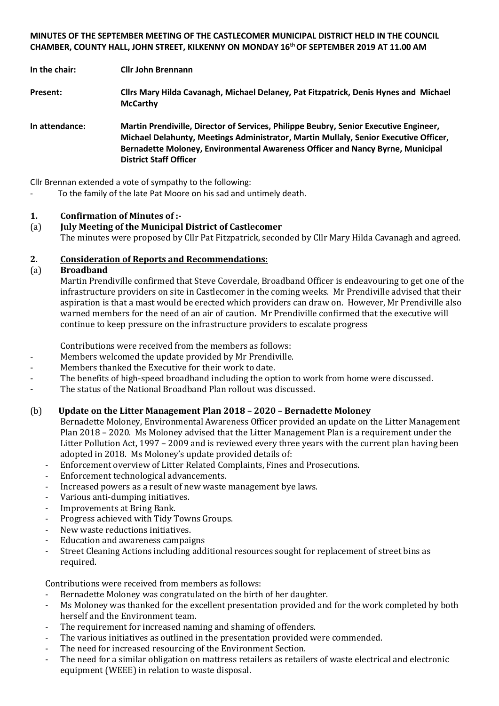## **MINUTES OF THE SEPTEMBER MEETING OF THE CASTLECOMER MUNICIPAL DISTRICT HELD IN THE COUNCIL CHAMBER, COUNTY HALL, JOHN STREET, KILKENNY ON MONDAY 16 th OF SEPTEMBER 2019 AT 11.00 AM**

**In the chair: Cllr John Brennann**

- **Present: Cllrs Mary Hilda Cavanagh, Michael Delaney, Pat Fitzpatrick, Denis Hynes and Michael McCarthy**
- **In attendance: Martin Prendiville, Director of Services, Philippe Beubry, Senior Executive Engineer, Michael Delahunty, Meetings Administrator, Martin Mullaly, Senior Executive Officer, Bernadette Moloney, Environmental Awareness Officer and Nancy Byrne, Municipal District Staff Officer**

Cllr Brennan extended a vote of sympathy to the following:

- To the family of the late Pat Moore on his sad and untimely death.

#### **1. Confirmation of Minutes of :-**

(a) **July Meeting of the Municipal District of Castlecomer** The minutes were proposed by Cllr Pat Fitzpatrick, seconded by Cllr Mary Hilda Cavanagh and agreed.

#### **2. Consideration of Reports and Recommendations:**

#### (a) **Broadband**

Martin Prendiville confirmed that Steve Coverdale, Broadband Officer is endeavouring to get one of the infrastructure providers on site in Castlecomer in the coming weeks. Mr Prendiville advised that their aspiration is that a mast would be erected which providers can draw on. However, Mr Prendiville also warned members for the need of an air of caution. Mr Prendiville confirmed that the executive will continue to keep pressure on the infrastructure providers to escalate progress

Contributions were received from the members as follows:

- Members welcomed the update provided by Mr Prendiville.
- Members thanked the Executive for their work to date.
	- The benefits of high-speed broadband including the option to work from home were discussed.
- The status of the National Broadband Plan rollout was discussed.

#### (b) **Update on the Litter Management Plan 2018 – 2020 – Bernadette Moloney**

Bernadette Moloney, Environmental Awareness Officer provided an update on the Litter Management Plan 2018 – 2020. Ms Moloney advised that the Litter Management Plan is a requirement under the Litter Pollution Act, 1997 – 2009 and is reviewed every three years with the current plan having been adopted in 2018. Ms Moloney's update provided details of:

- Enforcement overview of Litter Related Complaints, Fines and Prosecutions.
- Enforcement technological advancements.
- Increased powers as a result of new waste management bye laws.
- Various anti-dumping initiatives.
- Improvements at Bring Bank.
- Progress achieved with Tidy Towns Groups.
- New waste reductions initiatives.
- Education and awareness campaigns
- Street Cleaning Actions including additional resources sought for replacement of street bins as required.

Contributions were received from members as follows:

- Bernadette Moloney was congratulated on the birth of her daughter.
- Ms Moloney was thanked for the excellent presentation provided and for the work completed by both herself and the Environment team.
- The requirement for increased naming and shaming of offenders.
- The various initiatives as outlined in the presentation provided were commended.
- The need for increased resourcing of the Environment Section.
- The need for a similar obligation on mattress retailers as retailers of waste electrical and electronic equipment (WEEE) in relation to waste disposal.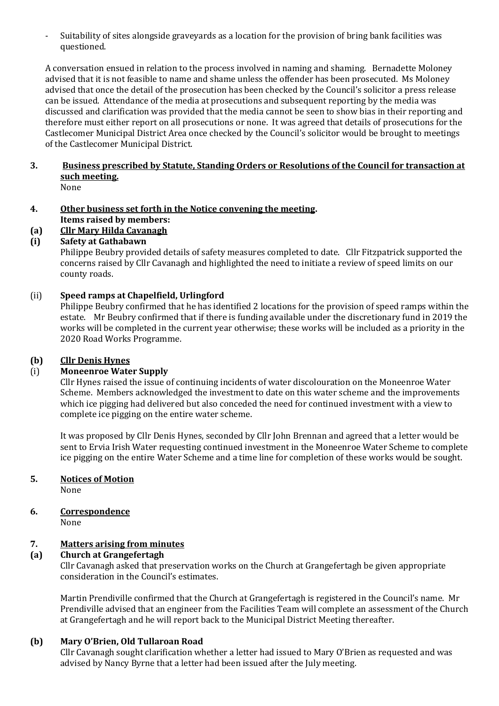- Suitability of sites alongside graveyards as a location for the provision of bring bank facilities was questioned.

A conversation ensued in relation to the process involved in naming and shaming. Bernadette Moloney advised that it is not feasible to name and shame unless the offender has been prosecuted. Ms Moloney advised that once the detail of the prosecution has been checked by the Council's solicitor a press release can be issued. Attendance of the media at prosecutions and subsequent reporting by the media was discussed and clarification was provided that the media cannot be seen to show bias in their reporting and therefore must either report on all prosecutions or none. It was agreed that details of prosecutions for the Castlecomer Municipal District Area once checked by the Council's solicitor would be brought to meetings of the Castlecomer Municipal District.

# **3. Business prescribed by Statute, Standing Orders or Resolutions of the Council for transaction at such meeting.**

- None
- **4. Other business set forth in the Notice convening the meeting. Items raised by members:**
- **(a) Cllr Mary Hilda Cavanagh**

# **(i) Safety at Gathabawn**

Philippe Beubry provided details of safety measures completed to date. Cllr Fitzpatrick supported the concerns raised by Cllr Cavanagh and highlighted the need to initiate a review of speed limits on our county roads.

## (ii) **Speed ramps at Chapelfield, Urlingford**

Philippe Beubry confirmed that he has identified 2 locations for the provision of speed ramps within the estate. Mr Beubry confirmed that if there is funding available under the discretionary fund in 2019 the works will be completed in the current year otherwise; these works will be included as a priority in the 2020 Road Works Programme.

#### **(b) Cllr Denis Hynes**

# (i) **Moneenroe Water Supply**

Cllr Hynes raised the issue of continuing incidents of water discolouration on the Moneenroe Water Scheme. Members acknowledged the investment to date on this water scheme and the improvements which ice pigging had delivered but also conceded the need for continued investment with a view to complete ice pigging on the entire water scheme.

It was proposed by Cllr Denis Hynes, seconded by Cllr John Brennan and agreed that a letter would be sent to Ervia Irish Water requesting continued investment in the Moneenroe Water Scheme to complete ice pigging on the entire Water Scheme and a time line for completion of these works would be sought.

# **5. Notices of Motion**

None

**6. Correspondence**

None

#### **7. Matters arising from minutes**

#### **(a) Church at Grangefertagh**

Cllr Cavanagh asked that preservation works on the Church at Grangefertagh be given appropriate consideration in the Council's estimates.

Martin Prendiville confirmed that the Church at Grangefertagh is registered in the Council's name. Mr Prendiville advised that an engineer from the Facilities Team will complete an assessment of the Church at Grangefertagh and he will report back to the Municipal District Meeting thereafter.

# **(b) Mary O'Brien, Old Tullaroan Road**

Cllr Cavanagh sought clarification whether a letter had issued to Mary O'Brien as requested and was advised by Nancy Byrne that a letter had been issued after the July meeting.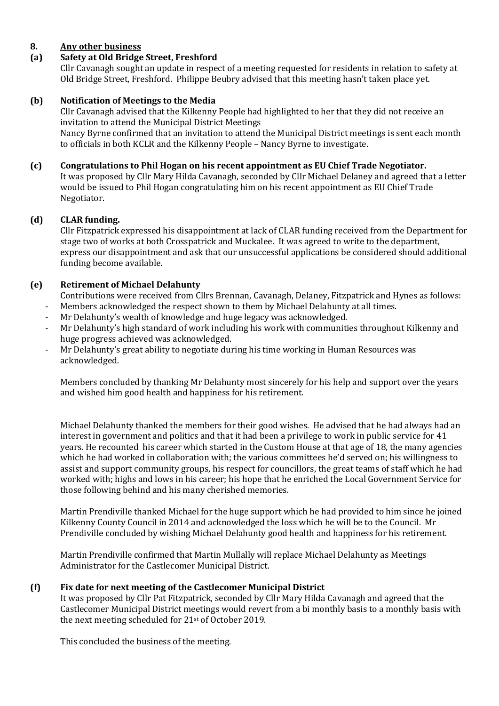# **8. Any other business**

# **(a) Safety at Old Bridge Street, Freshford**

Cllr Cavanagh sought an update in respect of a meeting requested for residents in relation to safety at Old Bridge Street, Freshford. Philippe Beubry advised that this meeting hasn't taken place yet.

## **(b) Notification of Meetings to the Media**

Cllr Cavanagh advised that the Kilkenny People had highlighted to her that they did not receive an invitation to attend the Municipal District Meetings Nancy Byrne confirmed that an invitation to attend the Municipal District meetings is sent each month to officials in both KCLR and the Kilkenny People – Nancy Byrne to investigate.

## **(c) Congratulations to Phil Hogan on his recent appointment as EU Chief Trade Negotiator.**

It was proposed by Cllr Mary Hilda Cavanagh, seconded by Cllr Michael Delaney and agreed that a letter would be issued to Phil Hogan congratulating him on his recent appointment as EU Chief Trade Negotiator.

## **(d) CLAR funding.**

Cllr Fitzpatrick expressed his disappointment at lack of CLAR funding received from the Department for stage two of works at both Crosspatrick and Muckalee. It was agreed to write to the department, express our disappointment and ask that our unsuccessful applications be considered should additional funding become available.

#### **(e) Retirement of Michael Delahunty**

Contributions were received from Cllrs Brennan, Cavanagh, Delaney, Fitzpatrick and Hynes as follows:

- Members acknowledged the respect shown to them by Michael Delahunty at all times.
- Mr Delahunty's wealth of knowledge and huge legacy was acknowledged.
- Mr Delahunty's high standard of work including his work with communities throughout Kilkenny and huge progress achieved was acknowledged.
- Mr Delahunty's great ability to negotiate during his time working in Human Resources was acknowledged.

Members concluded by thanking Mr Delahunty most sincerely for his help and support over the years and wished him good health and happiness for his retirement.

Michael Delahunty thanked the members for their good wishes. He advised that he had always had an interest in government and politics and that it had been a privilege to work in public service for 41 years. He recounted his career which started in the Custom House at that age of 18, the many agencies which he had worked in collaboration with; the various committees he'd served on; his willingness to assist and support community groups, his respect for councillors, the great teams of staff which he had worked with; highs and lows in his career; his hope that he enriched the Local Government Service for those following behind and his many cherished memories.

Martin Prendiville thanked Michael for the huge support which he had provided to him since he joined Kilkenny County Council in 2014 and acknowledged the loss which he will be to the Council. Mr Prendiville concluded by wishing Michael Delahunty good health and happiness for his retirement.

Martin Prendiville confirmed that Martin Mullally will replace Michael Delahunty as Meetings Administrator for the Castlecomer Municipal District.

#### **(f) Fix date for next meeting of the Castlecomer Municipal District**

It was proposed by Cllr Pat Fitzpatrick, seconded by Cllr Mary Hilda Cavanagh and agreed that the Castlecomer Municipal District meetings would revert from a bi monthly basis to a monthly basis with the next meeting scheduled for 21st of October 2019.

This concluded the business of the meeting.